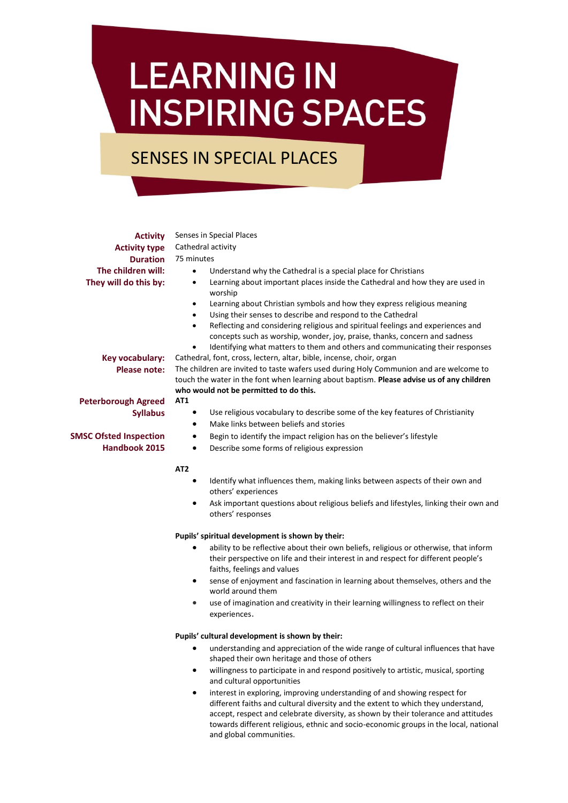# **LEARNING IN INSPIRING SPACES**

## SENSES IN SPECIAL PLACES

**Activity** Senses in Special Places **Activity type** Cathedral activity **Duration** 75 minutes **The children will:**  $\bullet$  Understand why the Cathedral is a special place for Christians **They will do this by:** • Learning about important places inside the Cathedral and how they are used in worship Learning about Christian symbols and how they express religious meaning Using their senses to describe and respond to the Cathedral **Key vocabulary:** Cathedral, font, cross, lectern, altar, bible, incense, choir, organ **Please note:** The children are invited to taste wafers used during Holy Communion and are welcome to **who would not be permitted to do this. Peterborough Agreed Syllabus SMSC Ofsted Inspection Handbook 2015 AT1** Make links between beliefs and stories Begin to identify the impact religion has on the believer's lifestyle Describe some forms of religious expression **AT2** others' experiences others' responses **Pupils' spiritual development is shown by their:**

- ability to be reflective about their own beliefs, religious or otherwise, that inform their perspective on life and their interest in and respect for different people's faiths, feelings and values
- sense of enjoyment and fascination in learning about themselves, others and the world around them
- use of imagination and creativity in their learning willingness to reflect on their experiences.

#### **Pupils' cultural development is shown by their:**

- understanding and appreciation of the wide range of cultural influences that have shaped their own heritage and those of others
- willingness to participate in and respond positively to artistic, musical, sporting and cultural opportunities
- interest in exploring, improving understanding of and showing respect for different faiths and cultural diversity and the extent to which they understand, accept, respect and celebrate diversity, as shown by their tolerance and attitudes towards different religious, ethnic and socio-economic groups in the local, national and global communities.

- 
- 
- Reflecting and considering religious and spiritual feelings and experiences and concepts such as worship, wonder, joy, praise, thanks, concern and sadness
- Identifying what matters to them and others and communicating their responses

touch the water in the font when learning about baptism. **Please advise us of any children** 

- Use religious vocabulary to describe some of the key features of Christianity
- Identify what influences them, making links between aspects of their own and
- Ask important questions about religious beliefs and lifestyles, linking their own and
- -
	-
- 
-